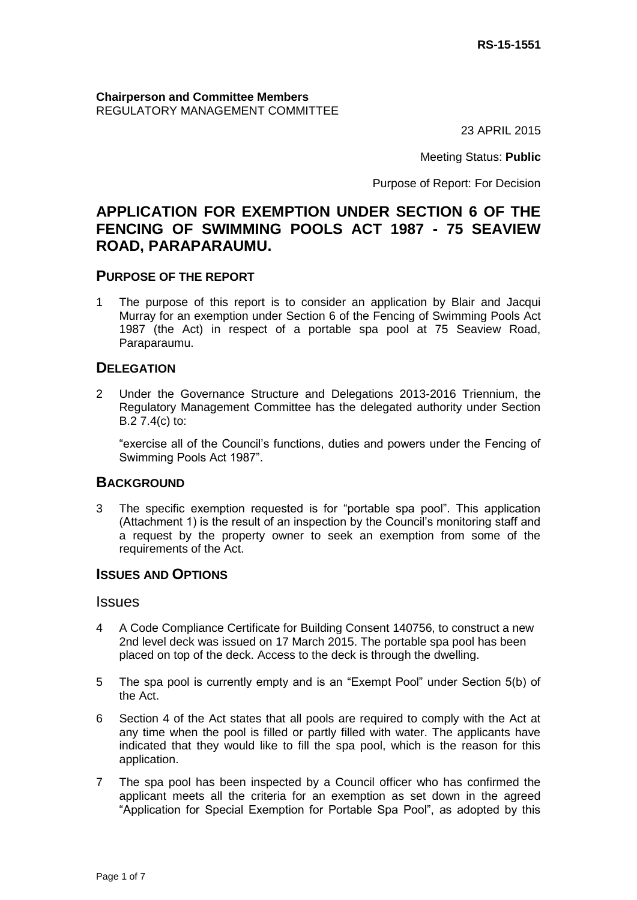#### **Chairperson and Committee Members** REGULATORY MANAGEMENT COMMITTEE

23 APRIL 2015

Meeting Status: **Public**

Purpose of Report: For Decision

# **APPLICATION FOR EXEMPTION UNDER SECTION 6 OF THE FENCING OF SWIMMING POOLS ACT 1987 - 75 SEAVIEW ROAD, PARAPARAUMU.**

## **PURPOSE OF THE REPORT**

1 The purpose of this report is to consider an application by Blair and Jacqui Murray for an exemption under Section 6 of the Fencing of Swimming Pools Act 1987 (the Act) in respect of a portable spa pool at 75 Seaview Road, Paraparaumu.

#### **DELEGATION**

2 Under the Governance Structure and Delegations 2013-2016 Triennium, the Regulatory Management Committee has the delegated authority under Section B.2 7.4(c) to:

"exercise all of the Council's functions, duties and powers under the Fencing of Swimming Pools Act 1987".

## **BACKGROUND**

3 The specific exemption requested is for "portable spa pool". This application (Attachment 1) is the result of an inspection by the Council's monitoring staff and a request by the property owner to seek an exemption from some of the requirements of the Act.

## **ISSUES AND OPTIONS**

#### Issues

- 4 A Code Compliance Certificate for Building Consent 140756, to construct a new 2nd level deck was issued on 17 March 2015. The portable spa pool has been placed on top of the deck. Access to the deck is through the dwelling.
- 5 The spa pool is currently empty and is an "Exempt Pool" under Section 5(b) of the Act.
- 6 Section 4 of the Act states that all pools are required to comply with the Act at any time when the pool is filled or partly filled with water. The applicants have indicated that they would like to fill the spa pool, which is the reason for this application.
- 7 The spa pool has been inspected by a Council officer who has confirmed the applicant meets all the criteria for an exemption as set down in the agreed "Application for Special Exemption for Portable Spa Pool", as adopted by this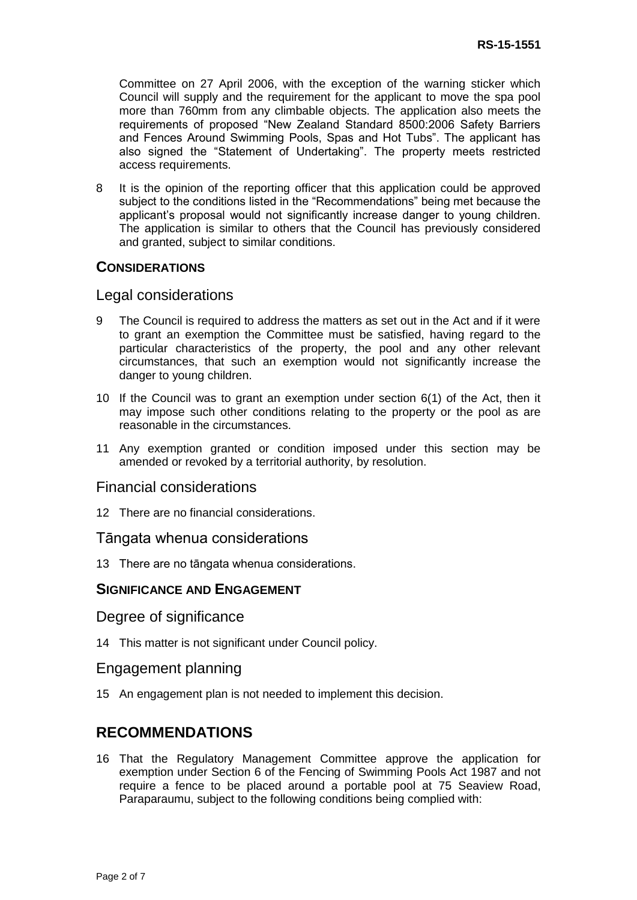Committee on 27 April 2006, with the exception of the warning sticker which Council will supply and the requirement for the applicant to move the spa pool more than 760mm from any climbable objects. The application also meets the requirements of proposed "New Zealand Standard 8500:2006 Safety Barriers and Fences Around Swimming Pools, Spas and Hot Tubs". The applicant has also signed the "Statement of Undertaking". The property meets restricted access requirements.

8 It is the opinion of the reporting officer that this application could be approved subject to the conditions listed in the "Recommendations" being met because the applicant's proposal would not significantly increase danger to young children. The application is similar to others that the Council has previously considered and granted, subject to similar conditions.

#### **CONSIDERATIONS**

#### Legal considerations

- 9 The Council is required to address the matters as set out in the Act and if it were to grant an exemption the Committee must be satisfied, having regard to the particular characteristics of the property, the pool and any other relevant circumstances, that such an exemption would not significantly increase the danger to young children.
- 10 If the Council was to grant an exemption under section 6(1) of the Act, then it may impose such other conditions relating to the property or the pool as are reasonable in the circumstances.
- 11 Any exemption granted or condition imposed under this section may be amended or revoked by a territorial authority, by resolution.

#### Financial considerations

12 There are no financial considerations.

#### Tāngata whenua considerations

13 There are no tāngata whenua considerations.

#### **SIGNIFICANCE AND ENGAGEMENT**

#### Degree of significance

14 This matter is not significant under Council policy.

#### Engagement planning

15 An engagement plan is not needed to implement this decision.

## **RECOMMENDATIONS**

16 That the Regulatory Management Committee approve the application for exemption under Section 6 of the Fencing of Swimming Pools Act 1987 and not require a fence to be placed around a portable pool at 75 Seaview Road, Paraparaumu, subject to the following conditions being complied with: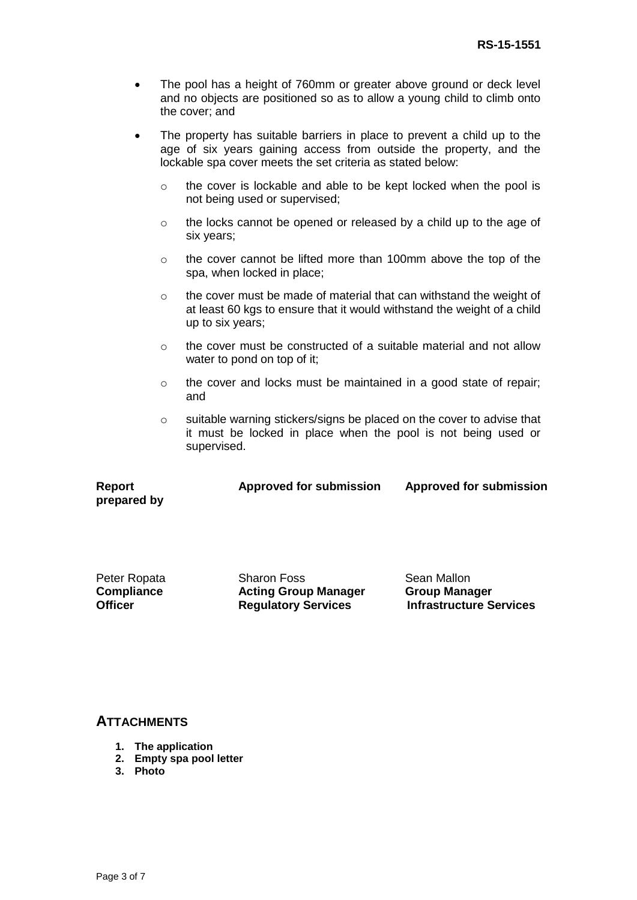- The pool has a height of 760mm or greater above ground or deck level and no objects are positioned so as to allow a young child to climb onto the cover; and
- The property has suitable barriers in place to prevent a child up to the age of six years gaining access from outside the property, and the lockable spa cover meets the set criteria as stated below:
	- o the cover is lockable and able to be kept locked when the pool is not being used or supervised;
	- o the locks cannot be opened or released by a child up to the age of six years;
	- o the cover cannot be lifted more than 100mm above the top of the spa, when locked in place;
	- o the cover must be made of material that can withstand the weight of at least 60 kgs to ensure that it would withstand the weight of a child up to six years;
	- o the cover must be constructed of a suitable material and not allow water to pond on top of it;
	- o the cover and locks must be maintained in a good state of repair; and
	- o suitable warning stickers/signs be placed on the cover to advise that it must be locked in place when the pool is not being used or supervised.

| <b>Report</b> | Approved for submission | <b>Approved for submission</b> |
|---------------|-------------------------|--------------------------------|
| prepared by   |                         |                                |

|         | Peter Ropata |
|---------|--------------|
|         | Compliance   |
| Officer |              |

Sharon Foss **Acting Group Manager Regulatory Services**

Sean Mallon **Group Manager Infrastructure Services**

## **ATTACHMENTS**

- **1. The application**
- **2. Empty spa pool letter**
- **3. Photo**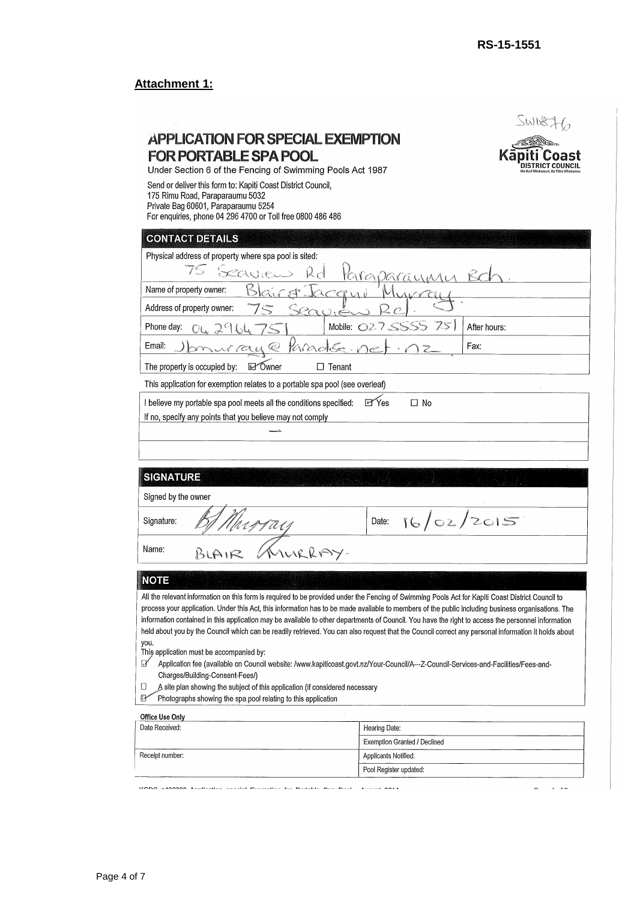# **Attachment 1:**

|                                                                                                                                                                                                                      | After hours:                                                                                                                                                                                                                                                                                                                                                                                                                                                    |  |  |
|----------------------------------------------------------------------------------------------------------------------------------------------------------------------------------------------------------------------|-----------------------------------------------------------------------------------------------------------------------------------------------------------------------------------------------------------------------------------------------------------------------------------------------------------------------------------------------------------------------------------------------------------------------------------------------------------------|--|--|
|                                                                                                                                                                                                                      | Fax:                                                                                                                                                                                                                                                                                                                                                                                                                                                            |  |  |
|                                                                                                                                                                                                                      |                                                                                                                                                                                                                                                                                                                                                                                                                                                                 |  |  |
|                                                                                                                                                                                                                      |                                                                                                                                                                                                                                                                                                                                                                                                                                                                 |  |  |
|                                                                                                                                                                                                                      |                                                                                                                                                                                                                                                                                                                                                                                                                                                                 |  |  |
| 16/02/2015<br>Date:                                                                                                                                                                                                  |                                                                                                                                                                                                                                                                                                                                                                                                                                                                 |  |  |
| Name:                                                                                                                                                                                                                |                                                                                                                                                                                                                                                                                                                                                                                                                                                                 |  |  |
|                                                                                                                                                                                                                      |                                                                                                                                                                                                                                                                                                                                                                                                                                                                 |  |  |
|                                                                                                                                                                                                                      | process your application. Under this Act, this information has to be made available to members of the public including business organisations. The<br>information contained in this application may be available to other departments of Council. You have the right to access the personnel information<br>held about you by the Council which can be readily retrieved. You can also request that the Council correct any personal information it holds about |  |  |
| Application fee (available on Council website: /www.kapiticoast.govt.nz/Your-Council/A---Z-Council-Services-and-Facilities/Fees-and-<br>A site plan showing the subject of this application (if considered necessary |                                                                                                                                                                                                                                                                                                                                                                                                                                                                 |  |  |
|                                                                                                                                                                                                                      |                                                                                                                                                                                                                                                                                                                                                                                                                                                                 |  |  |
|                                                                                                                                                                                                                      | APPLICATION FOR SPECIAL EXEMPTION<br>Under Section 6 of the Fencing of Swimming Pools Act 1987<br>rapar <u>ayu</u> n<br>Mobile: 027 5555 751<br>Karactise.ne<br>This application for exemption relates to a portable spa pool (see overleaf)<br><b>P</b> Yes<br>$\Box$ No<br>All the relevant information on this form is required to be provided under the Fencing of Swimming Pools Act for Kapiti Coast District Council to                                  |  |  |

Applicants Notified: Pool Register updated:

 $\sigma_{\rm c} = 1/2\sigma$ 

VODO extended technological condition condition for Bookship Oct Book and account next

Receipt number: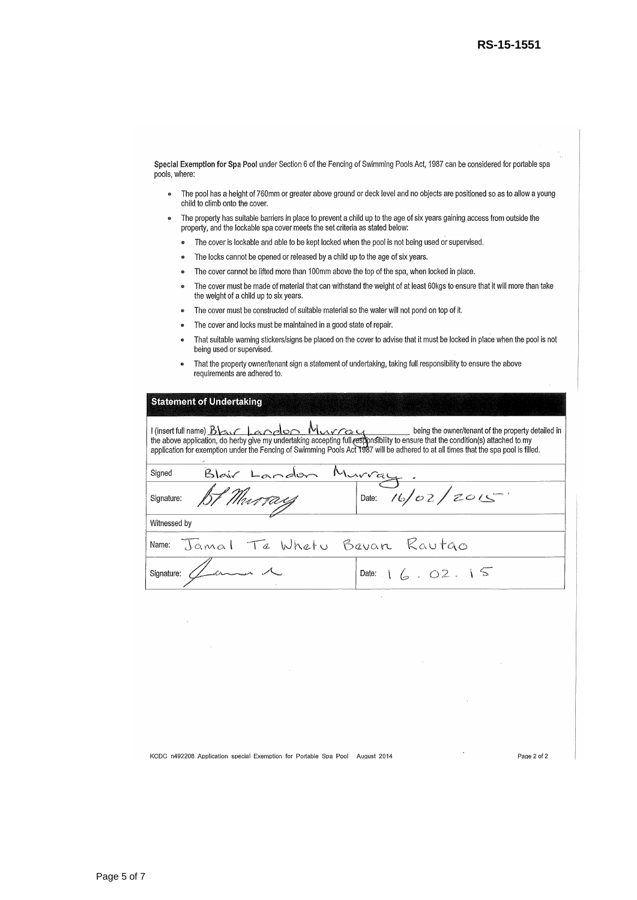Special Exemption for Spa Pool under Section 6 of the Fencing of Swimming Pools Act, 1987 can be considered for portable spa pools, where:

- The pool has a height of 760mm or greater above ground or deck level and no objects are positioned so as to allow a young  $\bullet$ child to climb onto the cover.
- The property has suitable barriers in place to prevent a child up to the age of six years gaining access from outside the  $\bullet$ property, and the lockable spa cover meets the set criteria as stated below:
	- The cover is lockable and able to be kept locked when the pool is not being used or supervised.  $\bullet$
	- The locks cannot be opened or released by a child up to the age of six years.  $\bullet$
	- The cover cannot be lifted more than 100mm above the top of the spa, when locked in place.  $\bullet$
	- The cover must be made of material that can withstand the weight of at least 60kgs to ensure that it will more than take  $\bullet$ the weight of a child up to six years.
	- The cover must be constructed of suitable material so the water will not pond on top of it.  $\bullet$
	- The cover and locks must be maintained in a good state of repair.  $\bullet$
	- That suitable warning stickers/signs be placed on the cover to advise that it must be locked in place when the pool is not being used or supervised.
	- That the property owner/tenant sign a statement of undertaking, taking full responsibility to ensure the above requirements are adhered to.

#### **Statement of Undertaking**

| I (insert full name) Blass Landon Murrey 4 being the owner/tenant of the property detailed in<br>the above application, do herby give my undertaking accepting full responsibility to ensure that the condition(s) attached to my<br>application for exemption under the Fencing of Swimming Pools Act 1987 will be adhered to at all times that the spa pool is filled. |                    |  |  |  |
|--------------------------------------------------------------------------------------------------------------------------------------------------------------------------------------------------------------------------------------------------------------------------------------------------------------------------------------------------------------------------|--------------------|--|--|--|
| Blair Landon<br>Signed                                                                                                                                                                                                                                                                                                                                                   |                    |  |  |  |
| BI Murray<br>Signature:                                                                                                                                                                                                                                                                                                                                                  | Date: $16/02/2015$ |  |  |  |
| Witnessed by                                                                                                                                                                                                                                                                                                                                                             |                    |  |  |  |
| Name: Jamal Ta Whatu Bavan Rautgo                                                                                                                                                                                                                                                                                                                                        |                    |  |  |  |
| Signature: $\angle$ and $\angle$                                                                                                                                                                                                                                                                                                                                         | Date: $6.02.15$    |  |  |  |
|                                                                                                                                                                                                                                                                                                                                                                          |                    |  |  |  |

KCDC n492208 Application special Exemption for Portable Spa Pool August 2014

Page 2 of 2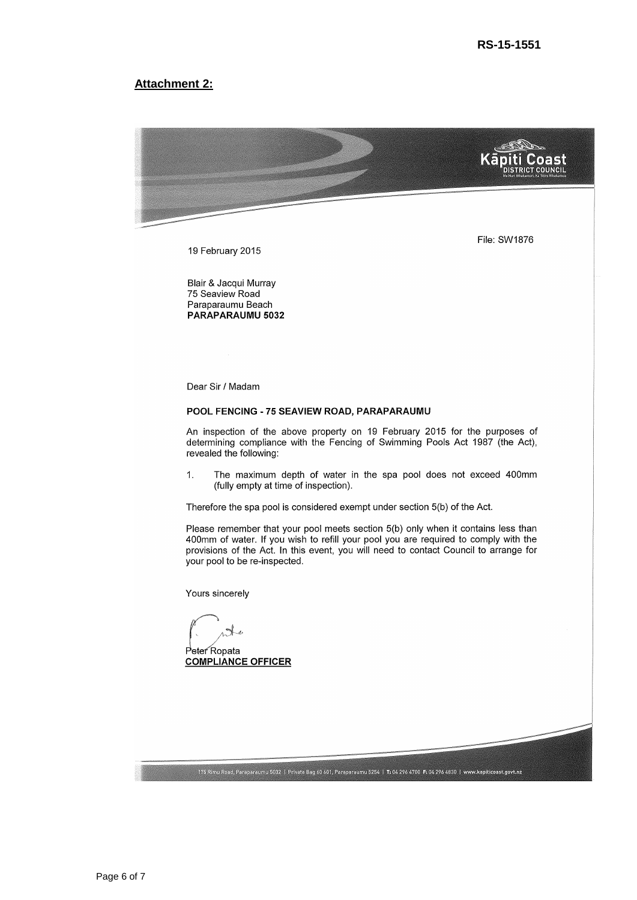#### **Attachment 2:**



19 February 2015

Blair & Jacqui Murray 75 Seaview Road Paraparaumu Beach PARAPARAUMU 5032

Dear Sir / Madam

#### POOL FENCING - 75 SEAVIEW ROAD, PARAPARAUMU

An inspection of the above property on 19 February 2015 for the purposes of determining compliance with the Fencing of Swimming Pools Act 1987 (the Act), revealed the following:

 $\mathbf{1}$ . The maximum depth of water in the spa pool does not exceed 400mm (fully empty at time of inspection).

Therefore the spa pool is considered exempt under section 5(b) of the Act.

Please remember that your pool meets section 5(b) only when it contains less than 400mm of water. If you wish to refill your pool you are required to comply with the provisions of the Act. In this event, you will need to contact Council to arrange for your pool to be re-inspected.

175 Rimu Road, Paraparaumu 5032 | Private Bag 60 601, Paraparaumu 5254 | T: 04 296 4700 F: 04 296 4830 | www.kapiticoast.govt.nz

Yours sincerely

Peter Ropata **COMPLIANCE OFFICER**